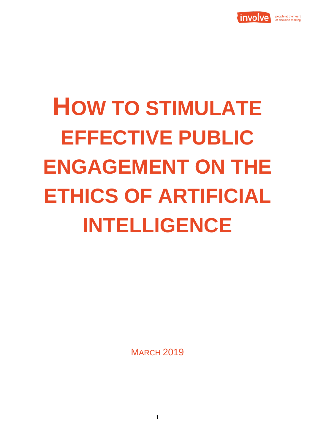

# **HOW TO STIMULATE EFFECTIVE PUBLIC ENGAGEMENT ON THE ETHICS OF ARTIFICIAL INTELLIGENCE**

**MARCH 2019**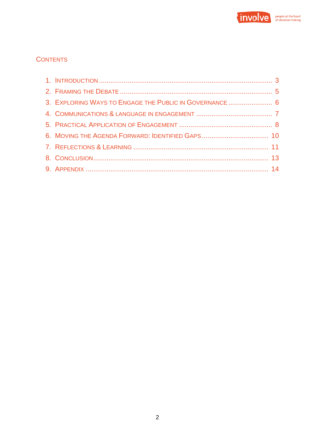

# **CONTENTS**

| 3. EXPLORING WAYS TO ENGAGE THE PUBLIC IN GOVERNANCE  6 |  |
|---------------------------------------------------------|--|
|                                                         |  |
|                                                         |  |
|                                                         |  |
|                                                         |  |
|                                                         |  |
|                                                         |  |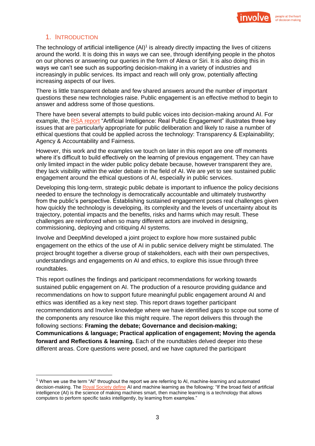

## 1. INTRODUCTION

 $\overline{a}$ 

The technology of artificial intelligence  $(AI)^1$  is already directly impacting the lives of citizens around the world. It is doing this in ways we can see, through identifying people in the photos on our phones or answering our queries in the form of Alexa or Siri. It is also doing this in ways we can't see such as supporting decision-making in a variety of industries and increasingly in public services. Its impact and reach will only grow, potentially affecting increasing aspects of our lives.

There is little transparent debate and few shared answers around the number of important questions these new technologies raise. Public engagement is an effective method to begin to answer and address some of those questions.

There have been several attempts to build public voices into decision-making around AI. For example, the [RSA report](https://www.thersa.org/globalassets/pdfs/reports/rsa_artificial-intelligence---real-public-engagement.pdf) "Artificial Intelligence: Real Public Engagement" illustrates three key issues that are particularly appropriate for public deliberation and likely to raise a number of ethical questions that could be applied across the technology: Transparency & Explainability; Agency & Accountability and Fairness.

However, this work and the examples we touch on later in this report are one off moments where it's difficult to build effectively on the learning of previous engagement. They can have only limited impact in the wider public policy debate because, however transparent they are, they lack visibility within the wider debate in the field of AI. We are yet to see sustained public engagement around the ethical questions of AI, especially in public services.

Developing this long-term, strategic public debate is important to influence the policy decisions needed to ensure the technology is democratically accountable and ultimately trustworthy from the public's perspective. Establishing sustained engagement poses real challenges given how quickly the technology is developing, its complexity and the levels of uncertainty about its trajectory, potential impacts and the benefits, risks and harms which may result. These challenges are reinforced when so many different actors are involved in designing, commissioning, deploying and critiquing AI systems.

Involve and DeepMind developed a joint project to explore how more sustained public engagement on the ethics of the use of AI in public service delivery might be stimulated. The project brought together a diverse group of stakeholders, each with their own perspectives, understandings and engagements on AI and ethics, to explore this issue through three roundtables.

This report outlines the findings and participant recommendations for working towards sustained public engagement on AI. The production of a resource providing guidance and recommendations on how to support future meaningful public engagement around AI and ethics was identified as a key next step. This report draws together participant recommendations and Involve knowledge where we have identified gaps to scope out some of the components any resource like this might require. The report delivers this through the following sections: **Framing the debate; Governance and decision-making; Communications & language; Practical application of engagement; Moving the agenda forward and Reflections & learning.** Each of the roundtables delved deeper into these different areas. Core questions were posed, and we have captured the participant

 $1$  When we use the term "AI" throughout the report we are referring to AI, machine-learning and automated decision-making. The [Royal Society define](https://royalsociety.org/~/media/policy/projects/machine-learning/publications/machine-learning-report.pdf) AI and machine learning as the following: "If the broad field of artificial intelligence (AI) is the science of making machines smart, then machine learning is a technology that allows computers to perform specific tasks intelligently, by learning from examples."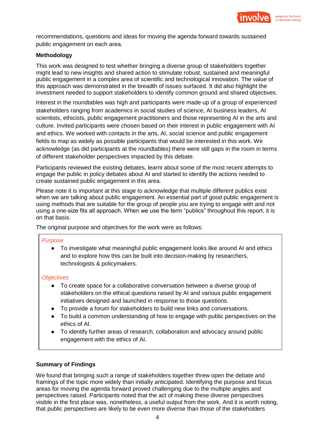

recommendations, questions and ideas for moving the agenda forward towards sustained public engagement on each area.

## **Methodology**

This work was designed to test whether bringing a diverse group of stakeholders together might lead to new insights and shared action to stimulate robust, sustained and meaningful public engagement in a complex area of scientific and technological innovation. The value of this approach was demonstrated in the breadth of issues surfaced. It did also highlight the investment needed to support stakeholders to identify common ground and shared objectives.

Interest in the roundtables was high and participants were made up of a group of experienced stakeholders ranging from academics in social studies of science, AI business leaders, AI scientists, ethicists, public engagement practitioners and those representing AI in the arts and culture. Invited participants were chosen based on their interest in public engagement with AI and ethics. We worked with contacts in the arts, AI, social science and public engagement fields to map as widely as possible participants that would be interested in this work. We acknowledge (as did participants at the roundtables) there were still gaps in the room in terms of different stakeholder perspectives impacted by this debate.

Participants reviewed the existing debates, learnt about some of the most recent attempts to engage the public in policy debates about AI and started to identify the actions needed to create sustained public engagement in this area.

Please note it is important at this stage to acknowledge that multiple different publics exist when we are talking about public engagement. An essential part of good public engagement is using methods that are suitable for the group of people you are trying to engage with and not using a one-size fits all approach. When we use the term "publics" throughout this report, it is on that basis.

The original purpose and objectives for the work were as follows:

#### *Purpose*

● To investigate what meaningful public engagement looks like around AI and ethics and to explore how this can be built into decision-making by researchers, technologists & policymakers.

#### *Objectives*

- To create space for a collaborative conversation between a diverse group of stakeholders on the ethical questions raised by AI and various public engagement initiatives designed and launched in response to those questions.
- To provide a forum for stakeholders to build new links and conversations.
- To build a common understanding of how to engage with public perspectives on the ethics of AI.
- To identify further areas of research, collaboration and advocacy around public engagement with the ethics of AI.

#### **Summary of Findings**

We found that bringing such a range of stakeholders together threw open the debate and framings of the topic more widely than initially anticipated. Identifying the purpose and focus areas for moving the agenda forward proved challenging due to the multiple angles and perspectives raised. Participants noted that the act of making these diverse perspectives visible in the first place was, nonetheless, a useful output from the work. And it is worth noting, that public perspectives are likely to be even more diverse than those of the stakeholders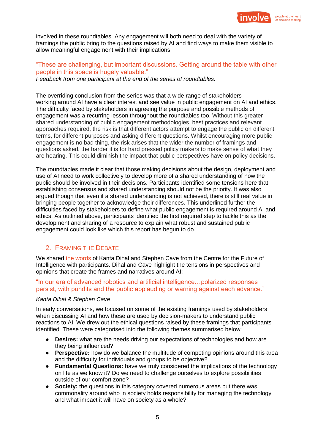

involved in these roundtables. Any engagement will both need to deal with the variety of framings the public bring to the questions raised by AI and find ways to make them visible to allow meaningful engagement with their implications.

# "These are challenging, but important discussions. Getting around the table with other people in this space is hugely valuable."

*Feedback from one participant at the end of the series of roundtables.* 

The overriding conclusion from the series was that a wide range of stakeholders working around AI have a clear interest and see value in public engagement on AI and ethics. The difficulty faced by stakeholders in agreeing the purpose and possible methods of engagement was a recurring lesson throughout the roundtables too. Without this greater shared understanding of public engagement methodologies, best practices and relevant approaches required, the risk is that different actors attempt to engage the public on different terms, for different purposes and asking different questions. Whilst encouraging more public engagement is no bad thing, the risk arises that the wider the number of framings and questions asked, the harder it is for hard pressed policy makers to make sense of what they are hearing. This could diminish the impact that public perspectives have on policy decisions.

The roundtables made it clear that those making decisions about the design, deployment and use of AI need to work collectively to develop more of a shared understanding of how the public should be involved in their decisions. Participants identified some tensions here that establishing consensus and shared understanding should not be the priority. It was also argued though that even if a shared understanding is not achieved, there is still real value in bringing people together to acknowledge their differences. This underlined further the difficulties faced by stakeholders to define what public engagement is required around AI and ethics. As outlined above, participants identified the first required step to tackle this as the development and sharing of a resource to explain what robust and sustained public engagement could look like which this report has begun to do.

# 2. FRAMING THE DEBATE

We shared [the words](https://www.nature.com/articles/d41586-018-05773-y) of Kanta Dihal and Stephen Cave from the Centre for the Future of Intelligence with participants. Dihal and Cave highlight the tensions in perspectives and opinions that create the frames and narratives around AI:

"In our era of advanced robotics and artificial intelligence…polarized responses persist, with pundits and the public applauding or warning against each advance."

#### *Kanta Dihal & Stephen Cave*

In early conversations, we focused on some of the existing framings used by stakeholders when discussing AI and how these are used by decision-makers to understand public reactions to AI. We drew out the ethical questions raised by these framings that participants identified. These were categorised into the following themes summarised below:

- **Desires:** what are the needs driving our expectations of technologies and how are they being influenced?
- **Perspective:** how do we balance the multitude of competing opinions around this area and the difficulty for individuals and groups to be objective?
- **Fundamental Questions:** have we truly considered the implications of the technology on life as we know it? Do we need to challenge ourselves to explore possibilities outside of our comfort zone?
- **Society:** the questions in this category covered numerous areas but there was commonality around who in society holds responsibility for managing the technology and what impact it will have on society as a whole?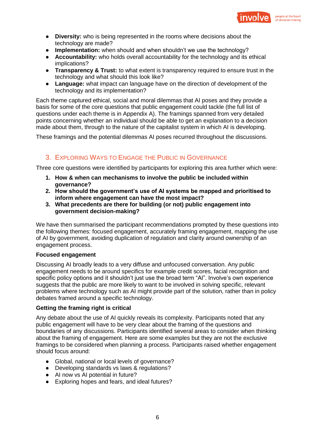

- **Diversity:** who is being represented in the rooms where decisions about the technology are made?
- **Implementation:** when should and when shouldn't we use the technology?
- **Accountability:** who holds overall accountability for the technology and its ethical implications?
- **Transparency & Trust:** to what extent is transparency required to ensure trust in the technology and what should this look like?
- **Language:** what impact can language have on the direction of development of the technology and its implementation?

Each theme captured ethical, social and moral dilemmas that AI poses and they provide a basis for some of the core questions that public engagement could tackle (the full list of questions under each theme is in Appendix A). The framings spanned from very detailed points concerning whether an individual should be able to get an explanation to a decision made about them, through to the nature of the capitalist system in which AI is developing.

These framings and the potential dilemmas AI poses recurred throughout the discussions.

# 3. EXPLORING WAYS TO ENGAGE THE PUBLIC IN GOVERNANCE

Three core questions were identified by participants for exploring this area further which were:

- **1. How & when can mechanisms to involve the public be included within governance?**
- **2. How should the government's use of AI systems be mapped and prioritised to inform where engagement can have the most impact?**
- **3. What precedents are there for building (or not) public engagement into government decision-making?**

We have then summarised the participant recommendations prompted by these questions into the following themes: focused engagement, accurately framing engagement, mapping the use of AI by government, avoiding duplication of regulation and clarity around ownership of an engagement process.

#### **Focused engagement**

Discussing AI broadly leads to a very diffuse and unfocused conversation. Any public engagement needs to be around specifics for example credit scores, facial recognition and specific policy options and it shouldn't just use the broad term "AI". Involve's own experience suggests that the public are more likely to want to be involved in solving specific, relevant problems where technology such as AI might provide part of the solution, rather than in policy debates framed around a specific technology.

## **Getting the framing right is critical**

Any debate about the use of AI quickly reveals its complexity. Participants noted that any public engagement will have to be very clear about the framing of the questions and boundaries of any discussions. Participants identified several areas to consider when thinking about the framing of engagement. Here are some examples but they are not the exclusive framings to be considered when planning a process. Participants raised whether engagement should focus around:

- Global, national or local levels of governance?
- Developing standards vs laws & regulations?
- AI now vs AI potential in future?
- Exploring hopes and fears, and ideal futures?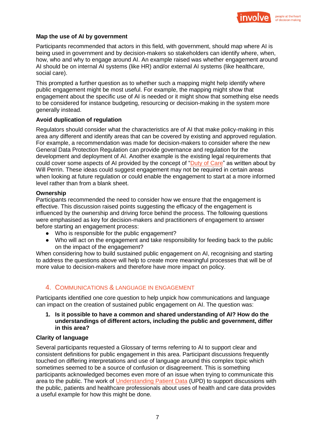

#### **Map the use of AI by government**

Participants recommended that actors in this field, with government, should map where AI is being used in government and by decision-makers so stakeholders can identify where, when, how, who and why to engage around AI. An example raised was whether engagement around AI should be on internal AI systems (like HR) and/or external AI systems (like healthcare, social care).

This prompted a further question as to whether such a mapping might help identify where public engagement might be most useful. For example, the mapping might show that engagement about the specific use of AI is needed or it might show that something else needs to be considered for instance budgeting, resourcing or decision-making in the system more generally instead.

#### **Avoid duplication of regulation**

Regulators should consider what the characteristics are of AI that make policy-making in this area any different and identify areas that can be covered by existing and approved regulation. For example, a recommendation was made for decision-makers to consider where the new General Data Protection Regulation can provide governance and regulation for the development and deployment of AI. Another example is the existing legal requirements that could cover some aspects of AI provided by the concept of ["Duty of Care"](https://www.lawgazette.co.uk/commentary-and-opinion/a-duty-of-care-could-regulate-social-media/5066691.article) as written about by Will Perrin. These ideas could suggest engagement may not be required in certain areas when looking at future regulation or could enable the engagement to start at a more informed level rather than from a blank sheet.

#### **Ownership**

Participants recommended the need to consider how we ensure that the engagement is effective. This discussion raised points suggesting the efficacy of the engagement is influenced by the ownership and driving force behind the process. The following questions were emphasised as key for decision-makers and practitioners of engagement to answer before starting an engagement process:

- Who is responsible for the public engagement?
- Who will act on the engagement and take responsibility for feeding back to the public on the impact of the engagement?

When considering how to build sustained public engagement on AI, recognising and starting to address the questions above will help to create more meaningful processes that will be of more value to decision-makers and therefore have more impact on policy.

# 4. COMMUNICATIONS & LANGUAGE IN ENGAGEMENT

Participants identified one core question to help unpick how communications and language can impact on the creation of sustained public engagement on AI. The question was:

## **1. Is it possible to have a common and shared understanding of AI? How do the understandings of different actors, including the public and government, differ in this area?**

## **Clarity of language**

Several participants requested a Glossary of terms referring to AI to support clear and consistent definitions for public engagement in this area. Participant discussions frequently touched on differing interpretations and use of language around this complex topic which sometimes seemed to be a source of confusion or disagreement. This is something participants acknowledged becomes even more of an issue when trying to communicate this area to the public. The work of [Understanding Patient Data](http://understandingpatientdata.org.uk/) (UPD) to support discussions with the public, patients and healthcare professionals about uses of health and care data provides a useful example for how this might be done.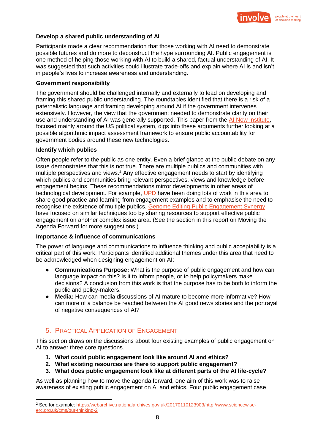

#### **Develop a shared public understanding of AI**

Participants made a clear recommendation that those working with AI need to demonstrate possible futures and do more to deconstruct the hype surrounding AI. Public engagement is one method of helping those working with AI to build a shared, factual understanding of AI. It was suggested that such activities could illustrate trade-offs and explain where AI is and isn't in people's lives to increase awareness and understanding.

#### **Government responsibility**

The government should be challenged internally and externally to lead on developing and framing this shared public understanding. The roundtables identified that there is a risk of a paternalistic language and framing developing around AI if the government intervenes extensively. However, the view that the government needed to demonstrate clarity on their use and understanding of AI was generally supported. This paper from the [AI Now Institute,](https://ainowinstitute.org/aiareport2018.pdf) focused mainly around the US political system, digs into these arguments further looking at a possible algorithmic impact assessment framework to ensure public accountability for government bodies around these new technologies.

#### **Identify which publics**

Often people refer to the public as one entity. Even a brief glance at the public debate on any issue demonstrates that this is not true. There are multiple publics and communities with multiple perspectives and views.<sup>2</sup> Any effective engagement needs to start by identifying which publics and communities bring relevant perspectives, views and knowledge before engagement begins. These recommendations mirror developments in other areas of technological development. For example, [UPD](http://understandingpatientdata.org.uk/public-and-patient-engagement-activities) have been doing lots of work in this area to share good practice and learning from engagement examples and to emphasise the need to recognise the existence of multiple publics. [Genome Editing Public Engagement Synergy](https://www.publicengagement.ac.uk/nccpe-projects-and-services/nccpe-projects/genome-editing-public-engagement-synergy) have focused on similar techniques too by sharing resources to support effective public engagement on another complex issue area. (See the section in this report on Moving the Agenda Forward for more suggestions.)

#### **Importance & influence of communications**

The power of language and communications to influence thinking and public acceptability is a critical part of this work. Participants identified additional themes under this area that need to be acknowledged when designing engagement on AI:

- **Communications Purpose:** What is the purpose of public engagement and how can language impact on this? Is it to inform people, or to help policymakers make decisions? A conclusion from this work is that the purpose has to be both to inform the public and policy-makers.
- **Media:** How can media discussions of AI mature to become more informative? How can more of a balance be reached between the AI good news stories and the portrayal of negative consequences of AI?

# 5. PRACTICAL APPLICATION OF ENGAGEMENT

This section draws on the discussions about four existing examples of public engagement on AI to answer three core questions.

- **1. What could public engagement look like around AI and ethics?**
- **2. What existing resources are there to support public engagement?**
- **3. What does public engagement look like at different parts of the AI life-cycle?**

As well as planning how to move the agenda forward, one aim of this work was to raise awareness of existing public engagement on AI and ethics. Four public engagement case

<sup>&</sup>lt;sup>2</sup> See for example[: https://webarchive.nationalarchives.gov.uk/20170110123903/http://www.sciencewise](https://webarchive.nationalarchives.gov.uk/20170110123903/http:/www.sciencewise-erc.org.uk/cms/our-thinking-2)[erc.org.uk/cms/our-thinking-2](https://webarchive.nationalarchives.gov.uk/20170110123903/http:/www.sciencewise-erc.org.uk/cms/our-thinking-2)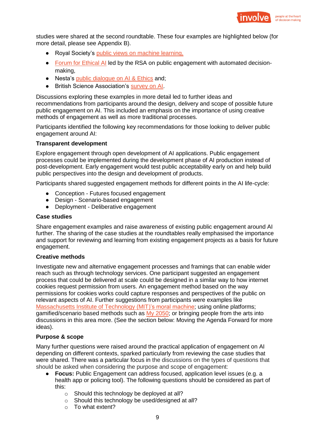

studies were shared at the second roundtable. These four examples are highlighted below (for more detail, please see Appendix B).

- Royal Society's public views on machine learning,
- [Forum for Ethical AI](https://www.thersa.org/discover/publications-and-articles/reports/artificial-intelligence-real-public-engagement) led by the RSA on public engagement with automated decisionmaking,
- Nesta's [public dialogue on AI & Ethics](https://www.involve.org.uk/our-work/our-projects/practice/artificial-intelligence-what-do-public-really-think-about-its) and;
- British Science Association's [survey on AI.](https://www.britishscienceassociation.org/News/rise-of-artificial-intelligence-is-a-threat-to-humanity)

Discussions exploring these examples in more detail led to further ideas and recommendations from participants around the design, delivery and scope of possible future public engagement on AI. This included an emphasis on the importance of using creative methods of engagement as well as more traditional processes.

Participants identified the following key recommendations for those looking to deliver public engagement around AI:

## **Transparent development**

Explore engagement through open development of AI applications. Public engagement processes could be implemented during the development phase of AI production instead of post-development. Early engagement would test public acceptability early on and help build public perspectives into the design and development of products.

Participants shared suggested engagement methods for different points in the AI life-cycle:

- Conception Futures focused engagement
- Design Scenario-based engagement
- Deployment Deliberative engagement

#### **Case studies**

Share engagement examples and raise awareness of existing public engagement around AI further. The sharing of the case studies at the roundtables really emphasised the importance and support for reviewing and learning from existing engagement projects as a basis for future engagement.

#### **Creative methods**

Investigate new and alternative engagement processes and framings that can enable wider reach such as through technology services. One participant suggested an engagement process that could be delivered at scale could be designed in a similar way to how internet cookies request permission from users. An engagement method based on the way permissions for cookies works could capture responses and perspectives of the public on relevant aspects of AI. Further suggestions from participants were examples like [Massachusetts Institute of Technology \(MIT\)'s moral machine;](http://moralmachine.mit.edu/) using online platforms; gamified/scenario based methods such as [My 2050;](https://www.google.com/url?q=http://2050-calculator-tool.decc.gov.uk/%23/guide&sa=D&ust=1549368895055000&usg=AFQjCNGIexoh9azdK8G40LBT8kKsqpUAFA) or bringing people from the arts into discussions in this area more. (See the section below: Moving the Agenda Forward for more ideas).

## **Purpose & scope**

Many further questions were raised around the practical application of engagement on AI depending on different contexts, sparked particularly from reviewing the case studies that were shared. There was a particular focus in the discussions on the types of questions that should be asked when considering the purpose and scope of engagement:

- **Focus:** Public Engagement can address focused, application level issues (e.g. a health app or policing tool). The following questions should be considered as part of this:
	- o Should this technology be deployed at all?
	- o Should this technology be used/designed at all?
	- o To what extent?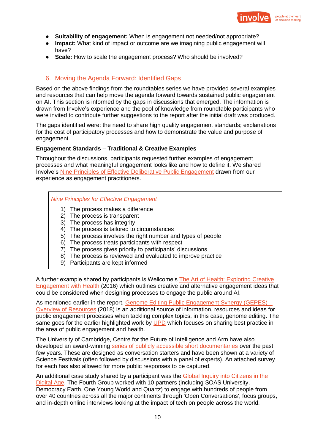

- **Suitability of engagement:** When is engagement not needed/not appropriate?
- **Impact:** What kind of impact or outcome are we imagining public engagement will have?
- **Scale:** How to scale the engagement process? Who should be involved?

## 6. Moving the Agenda Forward: Identified Gaps

Based on the above findings from the roundtables series we have provided several examples and resources that can help move the agenda forward towards sustained public engagement on AI. This section is informed by the gaps in discussions that emerged. The information is drawn from Involve's experience and the pool of knowledge from roundtable participants who were invited to contribute further suggestions to the report after the initial draft was produced.

The gaps identified were: the need to share high quality engagement standards; explanations for the cost of participatory processes and how to demonstrate the value and purpose of engagement.

#### **Engagement Standards – Traditional & Creative Examples**

Throughout the discussions, participants requested further examples of engagement processes and what meaningful engagement looks like and how to define it. We shared Involve's [Nine Principles of Effective Deliberative Public Engagement](https://www.involve.org.uk/resources/knowledge-base/what-are-qualities-good-participatory-process/nine-principles-effective) drawn from our experience as engagement practitioners.

#### *Nine Principles for Effective Engagement*

- 1) The process makes a difference
- 2) The process is transparent
- 3) The process has integrity
- 4) The process is tailored to circumstances
- 5) The process involves the right number and types of people
- 6) The process treats participants with respect
- 7) The process gives priority to participants' discussions
- 8) The process is reviewed and evaluated to improve practice
- 9) Participants are kept informed

A further example shared by participants is Wellcome's [The Art of Health: Exploring Creative](https://wellcome.ac.uk/sites/default/files/Art-of-Health-Mumbai-Wellcome-Oct2016.pdf)  [Engagement with Health](https://wellcome.ac.uk/sites/default/files/Art-of-Health-Mumbai-Wellcome-Oct2016.pdf) (2016) which outlines creative and alternative engagement ideas that could be considered when designing processes to engage the public around AI.

As mentioned earlier in the report, [Genome Editing Public Engagement Synergy \(GEPES\) –](https://www.publicengagement.ac.uk/sites/default/files/overview_of_resources_live_1.pdf) [Overview of](https://www.publicengagement.ac.uk/sites/default/files/overview_of_resources_live_1.pdf) Resources (2018) is an additional source of information, resources and ideas for public engagement processes when tackling complex topics, in this case, genome editing. The same goes for the earlier highlighted work by [UPD](http://understandingpatientdata.org.uk/public-and-patient-engagement-activities) which focuses on sharing best practice in the area of public engagement and health.

The University of Cambridge, Centre for the Future of Intelligence and Arm have also developed an award-winning [series of publicly accessible short documentaries](http://www.risemachines.com/) over the past few years. These are designed as conversation starters and have been shown at a variety of Science Festivals (often followed by discussions with a panel of experts). An attached survey for each has also allowed for more public responses to be captured.

An additional case study shared by a participant was the [Global Inquiry into Citizens in the](https://weareunitedcitizens.org/press-release/press-release-global-inquiry-identifies-agenda-to-tackle-six-sins-of-the-digital-age/)  [Digital Age.](https://weareunitedcitizens.org/press-release/press-release-global-inquiry-identifies-agenda-to-tackle-six-sins-of-the-digital-age/) The Fourth Group worked with 10 partners (including SOAS University, Democracy Earth, One Young World and Quartz) to engage with hundreds of people from over 40 countries across all the major continents through 'Open Conversations', focus groups, and in-depth online interviews looking at the impact of tech on people across the world.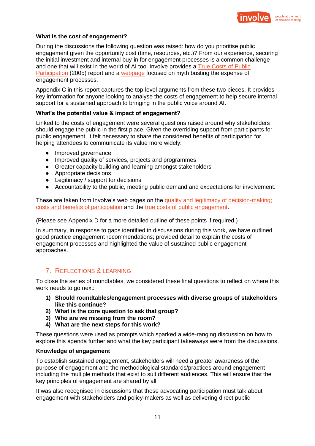

#### **What is the cost of engagement?**

During the discussions the following question was raised: how do you prioritise public engagement given the opportunity cost (time, resources, etc.)? From our experience, securing the initial investment and internal buy-in for engagement processes is a common challenge and one that will exist in the world of AI too. Involve provides a [True Costs of Public](https://www.involve.org.uk/sites/default/files/field/attachemnt/True-Costs-Full-Report.pdf)  [Participation](https://www.involve.org.uk/sites/default/files/field/attachemnt/True-Costs-Full-Report.pdf) (2005) report and a [webpage](https://www.involve.org.uk/resources/knowledge-base/fact-or-fiction/myth-1-engagement-too-expensive) focused on myth busting the expense of engagement processes.

Appendix C in this report captures the top-level arguments from these two pieces. It provides key information for anyone looking to analyse the costs of engagement to help secure internal support for a sustained approach to bringing in the public voice around AI.

#### **What's the potential value & impact of engagement?**

Linked to the costs of engagement were several questions raised around why stakeholders should engage the public in the first place. Given the overriding support from participants for public engagement, it felt necessary to share the considered benefits of participation for helping attendees to communicate its value more widely:

- Improved governance
- Improved quality of services, projects and programmes
- Greater capacity building and learning amongst stakeholders
- Appropriate decisions
- Legitimacy / support for decisions
- Accountability to the public, meeting public demand and expectations for involvement.

These are taken from Involve's web pages on the [quality and legitimacy of decision-making;](https://www.involve.org.uk/resources/knowledge-base/what-impact-participation/quality-and-legitimacy-decision-making) [costs and benefits of participation](https://www.involve.org.uk/resources/knowledge-base/what-impact-participation/benefits-and-costs-public-participation) and the [true costs of public engagement.](https://www.involve.org.uk/sites/default/files/field/attachemnt/True-Costs-Full-Report.pdf)

(Please see Appendix D for a more detailed outline of these points if required.)

In summary, in response to gaps identified in discussions during this work, we have outlined good practice engagement recommendations; provided detail to explain the costs of engagement processes and highlighted the value of sustained public engagement approaches.

# 7. REFLECTIONS & LEARNING

To close the series of roundtables, we considered these final questions to reflect on where this work needs to go next:

- **1) Should roundtables/engagement processes with diverse groups of stakeholders like this continue?**
- **2) What is the core question to ask that group?**
- **3) Who are we missing from the room?**
- **4) What are the next steps for this work?**

These questions were used as prompts which sparked a wide-ranging discussion on how to explore this agenda further and what the key participant takeaways were from the discussions.

#### **Knowledge of engagement**

To establish sustained engagement, stakeholders will need a greater awareness of the purpose of engagement and the methodological standards/practices around engagement including the multiple methods that exist to suit different audiences. This will ensure that the key principles of engagement are shared by all.

It was also recognised in discussions that those advocating participation must talk about engagement with stakeholders and policy-makers as well as delivering direct public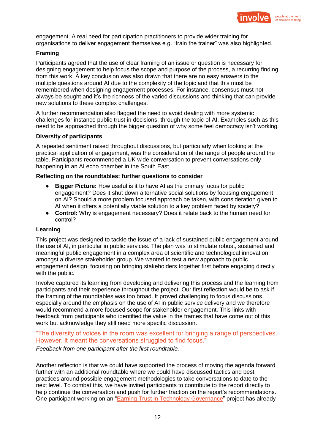

engagement. A real need for participation practitioners to provide wider training for organisations to deliver engagement themselves e.g. "train the trainer" was also highlighted.

#### **Framing**

Participants agreed that the use of clear framing of an issue or question is necessary for designing engagement to help focus the scope and purpose of the process, a recurring finding from this work. A key conclusion was also drawn that there are no easy answers to the multiple questions around AI due to the complexity of the topic and that this must be remembered when designing engagement processes. For instance, consensus must not always be sought and it's the richness of the varied discussions and thinking that can provide new solutions to these complex challenges.

A further recommendation also flagged the need to avoid dealing with more systemic challenges for instance public trust in decisions, through the topic of AI. Examples such as this need to be approached through the bigger question of why some feel democracy isn't working.

#### **Diversity of participants**

A repeated sentiment raised throughout discussions, but particularly when looking at the practical application of engagement, was the consideration of the range of people around the table. Participants recommended a UK wide conversation to prevent conversations only happening in an AI echo chamber in the South East.

#### **Reflecting on the roundtables: further questions to consider**

- **Bigger Picture:** How useful is it to have AI as the primary focus for public engagement? Does it shut down alternative social solutions by focusing engagement on AI? Should a more problem focused approach be taken, with consideration given to AI when it offers a potentially viable solution to a key problem faced by society?
- **Control:** Why is engagement necessary? Does it relate back to the human need for control?

## **Learning**

This project was designed to tackle the issue of a lack of sustained public engagement around the use of AI, in particular in public services. The plan was to stimulate robust, sustained and meaningful public engagement in a complex area of scientific and technological innovation amongst a diverse stakeholder group. We wanted to test a new approach to public engagement design, focusing on bringing stakeholders together first before engaging directly with the public.

Involve captured its learning from developing and delivering this process and the learning from participants and their experience throughout the project. Our first reflection would be to ask if the framing of the roundtables was too broad. It proved challenging to focus discussions, especially around the emphasis on the use of AI in public service delivery and we therefore would recommend a more focused scope for stakeholder engagement. This links with feedback from participants who identified the value in the frames that have come out of this work but acknowledge they still need more specific discussion.

"The diversity of voices in the room was excellent for bringing a range of perspectives. However, it meant the conversations struggled to find focus."

*Feedback from one participant after the first roundtable.*

Another reflection is that we could have supported the process of moving the agenda forward further with an additional roundtable where we could have discussed tactics and best practices around possible engagement methodologies to take conversations to date to the next level. To combat this, we have invited participants to contribute to the report directly to help continue the conversation and push for further traction on the report's recommendations. One participant working on an ["Earning Trust in Technology Governance"](https://www.tigtech.org/) project has already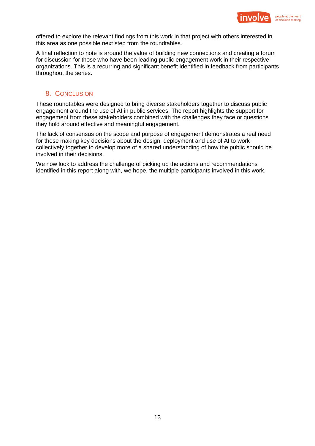

offered to explore the relevant findings from this work in that project with others interested in this area as one possible next step from the roundtables.

A final reflection to note is around the value of building new connections and creating a forum for discussion for those who have been leading public engagement work in their respective organizations. This is a recurring and significant benefit identified in feedback from participants throughout the series.

## 8. CONCLUSION

These roundtables were designed to bring diverse stakeholders together to discuss public engagement around the use of AI in public services. The report highlights the support for engagement from these stakeholders combined with the challenges they face or questions they hold around effective and meaningful engagement.

The lack of consensus on the scope and purpose of engagement demonstrates a real need for those making key decisions about the design, deployment and use of AI to work collectively together to develop more of a shared understanding of how the public should be involved in their decisions.

We now look to address the challenge of picking up the actions and recommendations identified in this report along with, we hope, the multiple participants involved in this work.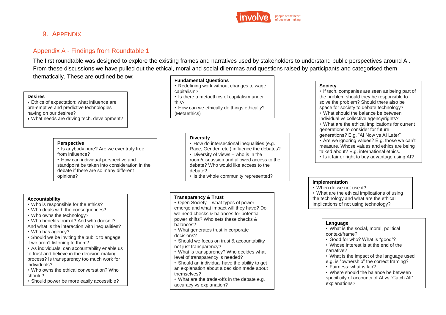

# 9. APPENDIX

# Appendix A - Findings from Roundtable 1

The first roundtable was designed to explore the existing frames and narratives used by stakeholders to understand public perspectives around AI. From these discussions we have pulled out the ethical, moral and social dilemmas and questions raised by participants and categorised them

thematically. These are outlined below:

#### **Desires**

• Ethics of expectation: what influence are pre-emptive and predictive technologies having on our desires? • What needs are driving tech. development?

#### **Perspective**

• Is anybody pure? Are we ever truly free from influence?

• How can individual perspective and standpoint be taken into consideration in the debate if there are so many different opinions?

#### **Fundamental Questions**

- Redefining work without changes to wage capitalism?
- Is there a metaethics of capitalism under this?
- How can we ethically do things ethically? (Metaethics)

#### **Diversity**

- How do intersectional inequalities (e.g.
- Race, Gender, etc.) influence the debates?
- Diversity of views who is in the
- room/discussion and allowed access to the debate? Who would like access to the
- debate?
- Is the whole community represented?

#### **Transparency & Trust**

- Open Society what types of power emerge and what impact will they have? Do we need checks & balances for potential power shifts? Who sets these checks & balances?
- 
- Should we focus on trust & accountability not just transparency?
- level of transparency is needed?
- Should an individual have the ability to get an explanation about a decision made about themselves?
- accuracy vs explanation?

#### **Society**

- If tech. companies are seen as being part of the problem should they be responsible to solve the problem? Should there also be space for society to debate technology?
- What should the balance be between individual vs collective agency/rights?
- What are the ethical implications for current generations to consider for future
- generations? E.g. "AI Now vs AI Later" • Are we ignoring values? E.g. those we can't measure. Whose values and ethics are being
- talked about? E.g. international ethics.
- Is it fair or right to buy advantage using AI?

#### **Implementation**

- When do we not use it?
- What are the ethical implications of using the technology and what are the ethical
- implications of not using technology?

#### **Language**

- What is the social, moral, political context/frame?
- Good for who? What is "good"?
- Whose interest is at the end of the narrative?
- What is the impact of the language used
- e.g. is "ownership" the correct framing?
- Fairness: what is fair?
- Where should the balance be between specificity of accounts of AI vs "Catch All" explanations?

#### **Accountability**

- Who is responsible for the ethics?
- Who deals with the consequences?
- Who owns the technology?
- Who benefits from it? And who doesn't?
- And what is the interaction with inequalities?
- Who has agency?
- Should we be inviting the public to engage if we aren't listening to them?
- As individuals, can accountability enable us to trust and believe in the decision-making process? Is transparency too much work for individuals?
- Who owns the ethical conversation? Who should?
- Should power be more easily accessible?
- - What generates trust in corporate decisions?
		-
		- What is transparency? Who decides what
		- What are the trade-offs in the debate e.g.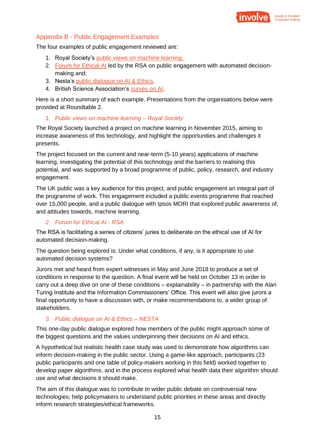

# Appendix B - Public Engagement Examples

The four examples of public engagement reviewed are:

- 1. Royal Society's public [views on machine learning,](https://royalsociety.org/~/media/policy/projects/machine-learning/publications/public-views-of-machine-learning-ipsos-mori.pdf)
- 2. [Forum for Ethical AI](https://www.thersa.org/discover/publications-and-articles/reports/artificial-intelligence-real-public-engagement) led by the RSA on public engagement with automated decisionmaking and;
- 3. Nesta's [public dialogue on AI & Ethics.](https://www.involve.org.uk/our-work/our-projects/practice/artificial-intelligence-what-do-public-really-think-about-its)
- 4. British Science Association's [survey on AI.](https://www.britishscienceassociation.org/News/rise-of-artificial-intelligence-is-a-threat-to-humanity)

Here is a short summary of each example. Presentations from the organisations below were provided at Roundtable 2.

## *1. Public views on machine learning – Royal Society*

The Royal Society launched a project on machine learning in November 2015, aiming to increase awareness of this technology, and highlight the opportunities and challenges it presents.

The project focused on the current and near-term (5-10 years) applications of machine learning, investigating the potential of this technology and the barriers to realising this potential, and was supported by a broad programme of public, policy, research, and industry engagement.

The UK public was a key audience for this project, and public engagement an integral part of the programme of work. This engagement included a public events programme that reached over 15,000 people, and a public dialogue with Ipsos MORI that explored public awareness of, and attitudes towards, machine learning.

## *2. Forum for Ethical AI - RSA*

The RSA is facilitating a series of citizens' juries to deliberate on the ethical use of AI for automated decision-making.

The question being explored is: Under what conditions, if any, is it appropriate to use automated decision systems?

Jurors met and heard from expert witnesses in May and June 2018 to produce a set of conditions in response to the question. A final event will be held on October 13 in order to carry out a deep dive on one of these conditions – explainability – in partnership with the Alan Turing Institute and the Information Commissioners' Office. This event will also give jurors a final opportunity to have a discussion with, or make recommendations to, a wider group of stakeholders.

# *3. Public dialogue on AI & Ethics – NESTA*

This one-day public dialogue explored how members of the public might approach some of the biggest questions and the values underpinning their decisions on AI and ethics.

A hypothetical but realistic health case study was used to demonstrate how algorithms can inform decision-making in the public sector. Using a game-like approach, participants (23 public participants and one table of policy-makers working in this field) worked together to develop paper algorithms, and in the process explored what health data their algorithm should use and what decisions it should make.

The aim of this dialogue was to contribute to wider public debate on controversial new technologies; help policymakers to understand public priorities in these areas and directly inform research strategies/ethical frameworks.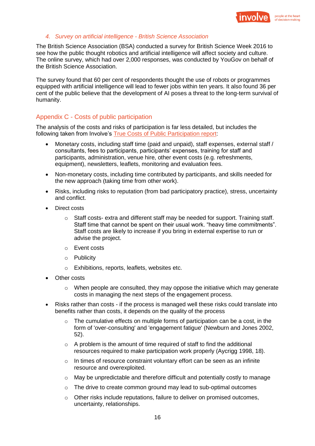

#### *4. Survey on artificial intelligence - British Science Association*

The British Science Association (BSA) conducted a survey for British Science Week 2016 to see how the public thought robotics and artificial intelligence will affect society and culture. The online survey, which had over 2,000 responses, was conducted by YouGov on behalf of the British Science Association.

The survey found that 60 per cent of respondents thought the use of robots or programmes equipped with artificial intelligence will lead to fewer jobs within ten years. It also found 36 per cent of the public believe that the development of AI poses a threat to the long-term survival of humanity.

## Appendix C - Costs of public participation

The analysis of the costs and risks of participation is far less detailed, but includes the following taken from Involve's [True Costs of Public Participation report:](https://www.involve.org.uk/sites/default/files/field/attachemnt/True-Costs-Full-Report.pdf)

- Monetary costs, including staff time (paid and unpaid), staff expenses, external staff / consultants, fees to participants, participants' expenses, training for staff and participants, administration, venue hire, other event costs (e.g. refreshments, equipment), newsletters, leaflets, monitoring and evaluation fees.
- Non-monetary costs, including time contributed by participants, and skills needed for the new approach (taking time from other work).
- Risks, including risks to reputation (from bad participatory practice), stress, uncertainty and conflict.
- Direct costs
	- o Staff costs- extra and different staff may be needed for support. Training staff. Staff time that cannot be spent on their usual work. "heavy time commitments". Staff costs are likely to increase if you bring in external expertise to run or advise the project.
	- o Event costs
	- o Publicity
	- o Exhibitions, reports, leaflets, websites etc.
- **Other costs** 
	- $\circ$  When people are consulted, they may oppose the initiative which may generate costs in managing the next steps of the engagement process.
- Risks rather than costs if the process is managed well these risks could translate into benefits rather than costs, it depends on the quality of the process
	- $\circ$  The cumulative effects on multiple forms of participation can be a cost, in the form of 'over-consulting' and 'engagement fatigue' (Newburn and Jones 2002, 52).
	- o A problem is the amount of time required of staff to find the additional resources required to make participation work properly (Aycrigg 1998, 18).
	- $\circ$  In times of resource constraint voluntary effort can be seen as an infinite resource and overexploited.
	- $\circ$  May be unpredictable and therefore difficult and potentially costly to manage
	- $\circ$  The drive to create common ground may lead to sub-optimal outcomes
	- o Other risks include reputations, failure to deliver on promised outcomes, uncertainty, relationships.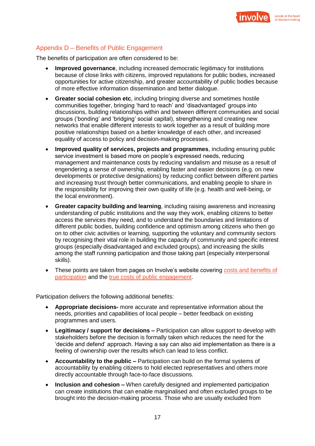

# Appendix D – Benefits of Public Engagement

The benefits of participation are often considered to be:

- **Improved governance**, including increased democratic legitimacy for institutions because of close links with citizens, improved reputations for public bodies, increased opportunities for active citizenship, and greater accountability of public bodies because of more effective information dissemination and better dialogue.
- **Greater social cohesion etc**, including bringing diverse and sometimes hostile communities together, bringing 'hard to reach' and 'disadvantaged' groups into discussions, building relationships within and between different communities and social groups ('bonding' and 'bridging' social capital), strengthening and creating new networks that enable different interests to work together as a result of building more positive relationships based on a better knowledge of each other, and increased equality of access to policy and decision-making processes.
- **Improved quality of services, projects and programmes**, including ensuring public service investment is based more on people's expressed needs, reducing management and maintenance costs by reducing vandalism and misuse as a result of engendering a sense of ownership, enabling faster and easier decisions (e.g. on new developments or protective designations) by reducing conflict between different parties and increasing trust through better communications, and enabling people to share in the responsibility for improving their own quality of life (e.g. health and well-being, or the local environment).
- **Greater capacity building and learning**, including raising awareness and increasing understanding of public institutions and the way they work, enabling citizens to better access the services they need, and to understand the boundaries and limitations of different public bodies, building confidence and optimism among citizens who then go on to other civic activities or learning, supporting the voluntary and community sectors by recognising their vital role in building the capacity of community and specific interest groups (especially disadvantaged and excluded groups), and increasing the skills among the staff running participation and those taking part (especially interpersonal skills).
- These points are taken from pages on Involve's website covering costs and benefits of [participation](https://www.involve.org.uk/resources/knowledge-base/what-impact-participation/benefits-and-costs-public-participation) and the [true costs of public engagement.](https://www.involve.org.uk/sites/default/files/field/attachemnt/True-Costs-Full-Report.pdf)

Participation delivers the following additional benefits:

- **Appropriate decisions-** more accurate and representative information about the needs, priorities and capabilities of local people – better feedback on existing programmes and users.
- **Legitimacy / support for decisions –** Participation can allow support to develop with stakeholders before the decision is formally taken which reduces the need for the 'decide and defend' approach. Having a say can also aid implementation as there is a feeling of ownership over the results which can lead to less conflict.
- **Accountability to the public –** Participation can build on the formal systems of accountability by enabling citizens to hold elected representatives and others more directly accountable through face-to-face discussions.
- **Inclusion and cohesion –** When carefully designed and implemented participation can create institutions that can enable marginalised and often excluded groups to be brought into the decision-making process. Those who are usually excluded from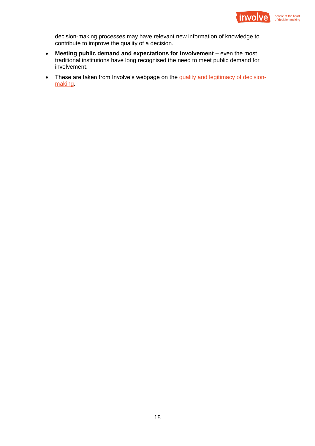

decision-making processes may have relevant new information of knowledge to contribute to improve the quality of a decision.

- **Meeting public demand and expectations for involvement –** even the most traditional institutions have long recognised the need to meet public demand for involvement.
- These are taken from Involve's webpage on the [quality and legitimacy of decision](https://www.involve.org.uk/resources/knowledge-base/what-impact-participation/quality-and-legitimacy-decision-making)**making**